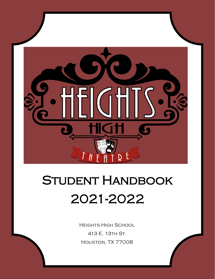

# STUDENT HANDBOOK 2021-2022

Heights High School 413 E. 13th St. Houston, TX 77008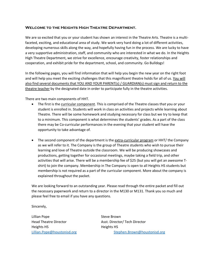#### **Welcome to the Heights High Theatre Department.**

We are so excited that you or your student has shown an interest in the Theatre Arts. Theatre is a multifaceted, exciting, and educational area of study. We work very hard doing a lot of different activities, developing numerous skills along the way, and hopefully having fun in the process. We are lucky to have a very supportive administration, staff, and community who are interested in what we do. In the Heights High Theatre Department, we strive for excellence, encourage creativity, foster relationships and cooperation, and exhibit pride for the department, school, and community. Go Bulldogs!

In the following pages, you will find information that will help you begin the new year on the right foot and will help you meet the exciting challenges that this magnificent theatre holds for all of us. You will also find several documents that YOU AND YOUR PARENT(s) / GUARDIAN(s) must sign and return to the theatre teacher by the designated date in order to participate fully in the theatre activities.

There are two main components of HHT.

- The first is the curricular component. This is comprised of the Theatre classes that you or your student is enrolled in. Students will work in class on activities and projects while learning about Theatre. There will be some homework and studying necessary for class but we try to keep that to a minimum. This component is what determines the students' grades. As a part of the class there may be Co-curricular performances in the evening that your student will have the opportunity to take advantage of.
- The second component of the department is the extra-curricular program or HHT/ the Company as we will refer to it. The Company is the group of Theatre students who wish to pursue their learning and love of Theatre outside the classroom. We will be producing showcases and productions, getting together for occasional meetings, maybe taking a field trip, and other activities that will arise. There will be a membership fee of \$25 (but you will get an awesome Tshirt) to join the company. Membership in The Company is open to all Heights HS students but membership is not required as a part of the curricular component. More about the company is explained throughout the packet.

We are looking forward to an outstanding year. Please read through the entire packet and fill out the necessary paperwork and return to a director in the M130 or M131. Thank you so much and please feel free to email if you have any questions.

Sincerely,

Lillian Pope Steve Brown Heights HS **Heights HS** 

Head Theatre Director **Asst. Director** Asst. Director *Asst.* Director *Asst.* Director [Lillian.Pope@houstonisd.org](mailto:Lillian.Pope@houstonisd.org) [Stephen.Brown@houstonisd.org](mailto:Stephen.Brown@houstonisd.org)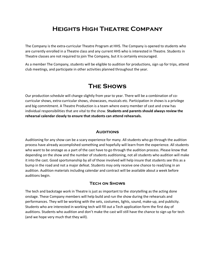# **Heights High Theatre Company**

The Company is the extra-curricular Theatre Program at HHS. The Company is opened to students who are currently enrolled in a Theatre class and any current HHS who is interested in Theatre. Students in Theatre classes are not required to join The Company, but it is certainly encouraged.

As a member The Company, students will be eligible to audition for productions, sign up for trips, attend club meetings, and participate in other activities planned throughout the year.

# **The Shows**

Our production schedule will change slightly from year to year. There will be a combination of cocurricular shows, extra-curricular shows, showcases, musicals etc. Participation in shows is a privilege and big commitment. A Theatre Production is a team where every member of cast and crew has individual responsibilities that are vital to the show. **Students and parents should always review the rehearsal calendar closely to ensure that students can attend rehearsals.** 

#### **AUDITIONS**

Auditioning for any show can be a scary experience for many. All students who go through the audition process have already accomplished something and hopefully will learn from the experience. All students who want to be onstage as a part of the cast have to go through the audition process. Please know that depending on the show and the number of students auditioning, not all students who audition will make it into the cast. Good sportsmanship by all of those involved will help insure that students see this as a bump in the road and not a major defeat. Students may only receive one chance to read/sing in an audition. Audition materials including calendar and contract will be available about a week before auditions begin.

#### **Tech on Shows**

The tech and backstage work in Theatre is just as important to the storytelling as the acting done onstage. These Company members will help build and run the show during the rehearsals and performances. They will be working with the sets, costumes, lights, sound, make-up, and publicity. Students who are interested in working tech will fill out a Tech application form the first day of auditions. Students who audition and don't make the cast will still have the chance to sign up for tech (and we hope very much that they will).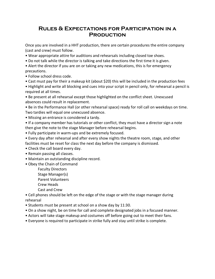## **Rules & Expectations for Participation in a Production**

Once you are involved in a HHT production, there are certain procedures the entire company (cast and crew) must follow.

- Wear appropriate attire for auditions and rehearsals including closed toe shoes.
- Do not talk while the director is talking and take directions the first time it is given.

• Alert the director if you are on or taking any new medications, this is for emergency precautions.

- Follow school dress code.
- Cast must pay for their a makeup kit (about \$20) this will be included in the production fees
- Highlight and write all blocking and cues into your script in pencil only, for rehearsal a pencil is required at all times.

• Be present at all rehearsal except those highlighted on the conflict sheet. Unexcused absences could result in replacement.

• Be in the Performance Hall (or other rehearsal space) ready for roll call on weekdays on time. Two tardies will equal one unexcused absence.

• Missing an entrance is considered a tardy.

• If a company member has tutorials or other conflict, they must have a director sign a note then give the note to the stage Manager before rehearsal begins.

• Fully participate in warm-ups and be extremely focused.

- Every day after rehearsal and after every show nights the theatre room, stage, and other facilities must be reset for class the next day before the company is dismissed.
- Check the call board every day.
- Remain passing all classes.
- Maintain an outstanding discipline record.
- Obey the Chain of Command

Faculty Directors Stage Manager(s) Parent Volunteers Crew Heads Cast and Crew

• Cell phones should be left on the edge of the stage or with the stage manager during rehearsal

- Students must be present at school on a show day by 11:30.
- On a show night, be on time for call and complete designated jobs in a focused manner.
- Actors will take stage makeup and costumes off before going out to meet their fans.
- Everyone is required to participate in strike fully and stay until strike is complete.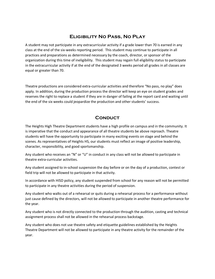## **Eligibility No Pass, No Play**

A student may not participate in any extracurricular activity if a grade lower than 70 is earned in any class at the end of the six-weeks reporting period. This student may continue to participate in all practices and preparations as determined necessary by the coach, director, or sponsor of the organization during this time of ineligibility. This student may regain full eligibility status to participate in the extracurricular activity if at the end of the designated 3 weeks period all grades in all classes are equal or greater than 70.

Theatre productions are considered extra-curricular activities and therefore "No pass, no play" does apply. In addition, during the production process the director will keep an eye on student grades and reserves the right to replace a student if they are in danger of failing at the report card and waiting until the end of the six weeks could jeopardize the production and other students' success.

## **Conduct**

The Heights High Theatre Department students have a high profile on campus and in the community. It is imperative that the conduct and appearance of all theatre students be above reproach. Theatre students will have the opportunity to participate in many exciting events on stage and behind the scenes. As representatives of Heights HS, our students must reflect an image of positive leadership, character, responsibility, and good sportsmanship.

Any student who receives an "N" or "U" in conduct in any class will not be allowed to participate in theatre extra-curricular activities.

Any student assigned to in-school suspension the day before or on the day of a production, contest or field trip will not be allowed to participate in that activity.

In accordance with HISD policy, any student suspended from school for any reason will not be permitted to participate in any theatre activities during the period of suspension.

Any student who walks out of a rehearsal or quits during a rehearsal process for a performance without just cause defined by the directors, will not be allowed to participate in another theatre performance for the year.

Any student who is not directly connected to the production through the audition, casting and technical assignment process shall not be allowed in the rehearsal process backstage.

Any student who does not use theatre safety and etiquette guidelines established by the Heights Theatre Department will not be allowed to participate in any theatre activity for the remainder of the year.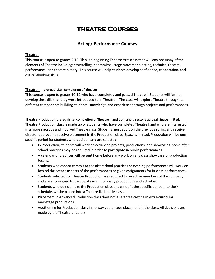# **Theatre Courses**

#### **Acting/ Performance Courses**

#### Theatre I

This course is open to grades 9-12. This is a beginning Theatre Arts class that will explore many of the elements of Theatre including: storytelling, pantomime, stage movement, acting, technical theatre, performance, and theatre history. This course will help students develop confidence, cooperation, and critical-thinking skills.

#### Theatre II **prerequisite - completion of Theatre I**

This course is open to grades 10-12 who have completed and passed Theatre I. Students will further develop the skills that they were introduced to in Theatre I. The class will explore Theatre through its different components building students' knowledge and experience through projects and performances.

#### Theatre Production **prerequisite- completion of Theatre I, audition, and director approval. Space limited.**

Theatre Production class is made up of students who have completed Theatre I and who are interested in a more rigorous and involved Theatre class. Students must audition the previous spring and receive director approval to receive placement in the Production class. Space is limited. Production will be one specific period for students who audition and are selected.

- In Production, students will work on advanced projects, productions, and showcases. Some after school practices may be required in order to participate in public performances.
- A calendar of practices will be sent home before any work on any class showcase or production begins.
- Students who cannot commit to the afterschool practices or evening performances will work on behind the scenes aspects of the performances or given assignments for in-class performance.
- Students selected for Theatre Production are required to be active members of the company and are encouraged to participate in all Company productions and activities.
- Students who do not make the Production class or cannot fit the specific period into their schedule, will be placed into a Theatre II, III, or IV class.
- Placement in Advanced Production class does not guarantee casting in extra-curricular mainstage productions.
- Auditioning for Production class in no way guarantees placement in the class. All decisions are made by the Theatre directors.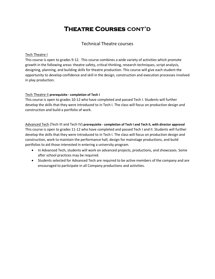# **Theatre Courses cont'd**

#### Technical Theatre courses

#### Tech Theatre I

This course is open to grades 9-12. This course combines a wide variety of activities which promote growth in the following areas: theatre safety, critical thinking, research techniques, script analysis, designing, planning, and building skills for theatre production. This course will give each student the opportunity to develop confidence and skill in the design, construction and execution processes involved in play production.

#### Tech Theatre II **prerequisite - completion of Tech I**

This course is open to grades 10-12 who have completed and passed Tech I. Students will further develop the skills that they were introduced to in Tech I. The class will focus on production design and construction and build a portfolio of work.

Advanced Tech (Tech III and Tech IV) **prerequisite - completion of Tech I and Tech II, with director approval** This course is open to grades 11-12 who have completed and passed Tech I and II. Students will further develop the skills that they were introduced to in Tech I. The class will focus on production design and construction, work to maintain the performance hall, design for mainstage productions, and build portfolios to aid those interested in entering a university program.

- In Advanced Tech, students will work on advanced projects, productions, and showcases. Some after school practices may be required.
- Students selected for Advanced Tech are required to be active members of the company and are encouraged to participate in all Company productions and activities.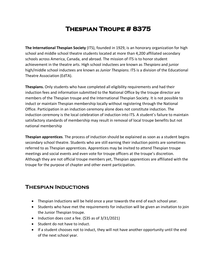# **Thespian Troupe # 8375**

**The International Thespian Society** (ITS), founded in 1929, is an honorary organization for high school and middle school theatre students located at more than 4,200 affiliated secondary schools across America, Canada, and abroad. The mission of ITS is to honor student achievement in the theatre arts. High school inductees are known as *Thespians* and junior high/middle school inductees are known as *Junior Thespians*. ITS is a division of the Educational Theatre Association (EdTA).

**Thespians.** Only students who have completed all eligibility requirements and had their induction fees and information submitted to the National Office by the troupe director are members of the Thespian troupe and the International Thespian Society. It is not possible to induct or maintain Thespian membership locally without registering through the National Office. Participation in an induction ceremony alone does not constitute induction. The induction ceremony is the local celebration of induction into ITS. A student's failure to maintain satisfactory standards of membership may result in removal of local troupe benefits but not national membership

**Thespian apprentices**. The process of induction should be explained as soon as a student begins secondary school theatre. Students who are still earning their induction points are sometimes referred to as Thespian apprentices. Apprentices may be invited to attend Thespian troupe meetings and social events and even vote for troupe officers at the troupe's discretion. Although they are not official troupe members yet, Thespian apprentices are affiliated with the troupe for the purpose of chapter and other event participation.

## **Thespian Inductions**

- Thespian Inductions will be held once a year towards the end of each school year.
- Students who have met the requirements for induction will be given an invitation to join the Junior Thespian troupe.
- Induction does cost a fee. (\$35 as of 3/31/2021)
- Student do not have to induct.
- If a student chooses not to induct, they will not have another opportunity until the end of the next school year.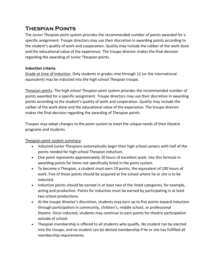# **Thespian Points**

The *Junior Thespian point system* provides the recommended number of points awarded for a specific assignment. Troupe directors may use their discretion in awarding points according to the student's quality of work and cooperation. Quality may include the caliber of the work done and the educational value of the experience. The troupe director makes the final decision regarding the awarding of Junior Thespian points.

#### **Induction criteria**.

Grade at time of induction. Only students in grades nine through 12 (or the international equivalent) may be inducted into the high school Thespian troupe.

Thespian points. The *high school Thespian point system* provides the recommended number of points awarded for a specific assignment. Troupe directors may use their discretion in awarding points according to the student's quality of work and cooperation. Quality may include the caliber of the work done and the educational value of the experience. The troupe director makes the final decision regarding the awarding of Thespian points.

Troupes may adopt changes to the point system to meet the unique needs of their theatre programs and students.

Thespian point system summary.

- Inducted Junior Thespians automatically begin their high school careers with half of the points needed for high school Thespian induction.
- One point represents approximately 10 hours of excellent work. Use this formula in awarding points for items not specifically listed in the point system.
- To become a Thespian, a student must earn 10 points, the equivalent of 100 hours of work. Five of those points should be acquired at the school where he or she is to be inducted.
- Induction points should be earned in at least two of the listed categories, for example, acting and production. Points for induction must be earned by participating in at least two school productions.
- At the troupe director's discretion, students may earn up to five points toward induction through participation in community, children's, middle school, or professional theatre. Once inducted, students may continue to earn points for theatre participation outside of school.
- Thespian membership is offered to all students who qualify. No student can be elected into the troupe, and no student can be denied membership if he or she has fulfilled all membership requirements.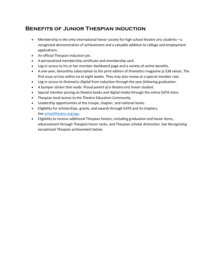# **Benefits of Junior Thespian induction**

- Membership in the only international honor society for high school theatre arts students—a recognized demonstration of achievement and a valuable addition to college and employment applications.
- An official Thespian induction pin.
- A personalized membership certificate and membership card.
- Log-in access to his or her member dashboard page and a variety of online benefits.
- A one-year, bimonthly subscription to the print edition of *Dramatics* magazine (a \$38 value). The first issue arrives within six to eight weeks. They may also renew at a special member rate.
- Log-in access to *Dramatics Digital* from induction through the year *following* graduation.
- A bumper sticker that reads: *Proud parent of a theatre arts honor student*.
- Special member pricing on theatre books and digital media through the online EdTA store.
- Thespian-level access to the Theatre Education Community.
- Leadership opportunities at the troupe, chapter, and national levels.
- Eligibility for scholarships, grants, and awards through EdTA and its chapters. See [schooltheatre.org/ags.](https://www.schooltheatre.org/programs/ags)
- Eligibility to receive additional Thespian honors, including graduation and honor items, advancement through Thespian honor ranks, and Thespian scholar distinction. See *Recognizing exceptional Thespian achievement* below.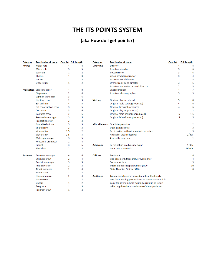# **THE ITS POINTS SYSTEM**

# **(aka How do I get points?)**

| <b>Category</b> | <b>Position/work done</b>       |                | One Act Full Length | Category         | <b>Position/work done</b>                            | <b>One Act</b> | <b>Full Length</b>             |
|-----------------|---------------------------------|----------------|---------------------|------------------|------------------------------------------------------|----------------|--------------------------------|
| <b>Acting</b>   | Major role                      | 4              | 8                   | <b>Directing</b> | <b>Director</b>                                      |                | 4<br>8                         |
|                 | Minor role                      | 3              | 5                   |                  | <b>Assistant director</b>                            |                | 3<br>6                         |
|                 | Walk-on                         | 1              | $\overline{2}$      |                  | <b>Vocal director</b>                                |                | 3<br>6                         |
|                 | Chorus                          | 1              | 3                   |                  | Video producer/director                              |                | 3<br>4                         |
|                 | Dancer                          | 1              | 3                   |                  | <b>Assistant vocal director</b>                      |                | 2<br>5                         |
|                 | Understudy                      | 1              | $\overline{2}$      |                  | Orchestra or band director                           |                | 3<br>6                         |
|                 |                                 |                |                     |                  | Assistant orchestra or band director                 |                | 5<br>$\overline{2}$            |
|                 | <b>Production</b> Stage manager | 4              | 8                   |                  | Choreographer                                        |                | $\overline{7}$<br>4            |
|                 | <b>Stage crew</b>               | 2              | 4                   |                  | Assistant choreographer                              |                | 5<br>3                         |
|                 | Lighting technician             | 3              | 6                   |                  |                                                      |                |                                |
|                 | <b>Lighting crew</b>            | 2              | 3                   | <b>Writing</b>   | Original play (produced)                             |                | 8<br>5                         |
|                 | Set designer                    | 4              | 5                   |                  | Original radio script (produced)                     |                | 6<br>4                         |
|                 | Set construction crew           | 3              | 5                   |                  | Original TV script (produced)                        |                | 6<br>4                         |
|                 | Costumer                        | 3              | 6                   |                  | Original play (unproduced)                           |                | $\overline{2}$<br>$\mathbf{1}$ |
|                 | Costume crew                    | $\overline{2}$ | 5                   |                  | Original radio script (unproduced)                   |                | 1.5<br>.5                      |
|                 | <b>Properties manager</b>       | 3              | 5                   |                  | Original TV script (unproduced)                      |                | 1.5<br>.5                      |
|                 | <b>Properties crew</b>          | 2              | 3                   |                  |                                                      |                |                                |
|                 | Sound technician                | 3              | 5                   |                  | Miscellaneous Oral interpretation                    |                | 2                              |
|                 | Sound crew                      | $\overline{2}$ | 3                   |                  | <b>Duet acting scenes</b>                            |                | $\overline{2}$                 |
|                 | Video editor                    | 1.5            | 2                   |                  | Participation in theatre festival or contest         |                | $\overline{3}$                 |
|                 | Video crew                      | 1.5            | 3                   |                  | <b>Attending theatre festival</b>                    |                | $1$ /day                       |
|                 | Makeup manager                  | 3              | 5                   |                  | Assembly program                                     |                | 1                              |
|                 | <b>Rehearsal prompter</b>       | $\overline{2}$ | 4                   |                  |                                                      |                |                                |
|                 | Pianist                         | 3              | 6                   | Advocacy         | Participation in advocacy event                      |                | $1$ /day                       |
|                 | <b>Musicians</b>                | 2              | 3                   |                  | Local advocacy work                                  |                | .1/hour                        |
| <b>Business</b> | <b>Business manager</b>         | 4              | 6                   | <b>Officers</b>  | President                                            |                | 6                              |
|                 | <b>Business crew</b>            | 2              | 4                   |                  | Vice president, treasurer, or web editor             |                | 4                              |
|                 | <b>Publicity manager</b>        | 3              | 5                   |                  | Secretary/clerk                                      |                | 5                              |
|                 | <b>Publicity crew</b>           | $\overline{2}$ | 3                   |                  | International Thespian Officer (ITO)                 |                | 10                             |
|                 | <b>Ticket manager</b>           | $\overline{2}$ | 4                   |                  | <b>State Thespian Officer (STO)</b>                  |                | 8                              |
|                 | <b>Ticket crew</b>              | $\mathbf{1}$   | 3                   |                  |                                                      |                |                                |
|                 | House manager                   | $\overline{2}$ | 4                   | <b>Audience</b>  | Troupe directors may award points at the hourly      |                |                                |
|                 | <b>House crew</b>               | 1              | 2                   |                  | rate for attending productions, or they may award .5 |                |                                |
|                 | <b>Ushers</b>                   | 1              | 2                   |                  | point for attending and writing a critique or report |                |                                |
|                 | Programs                        | 1              | 3                   |                  | reflecting the educational value of the experience.  |                |                                |
|                 | Program crew                    | $\mathbf{1}$   | $\overline{2}$      |                  |                                                      |                |                                |